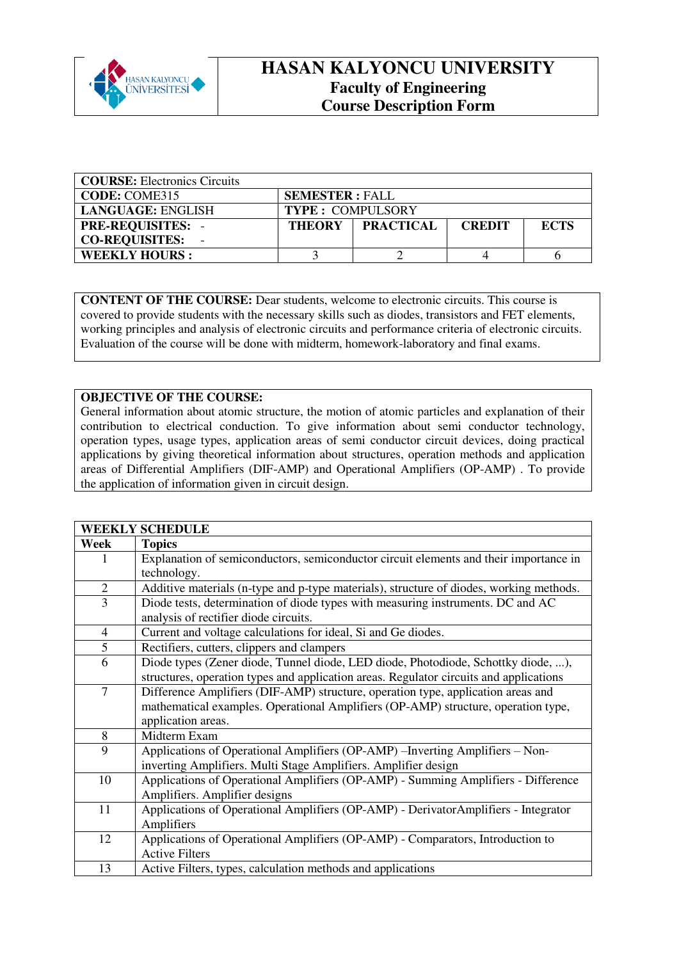

## **HASAN KALYONCU UNIVERSITY Faculty of Engineering Course Description Form**

| <b>COURSE:</b> Electronics Circuits |                         |                  |               |             |  |
|-------------------------------------|-------------------------|------------------|---------------|-------------|--|
| <b>CODE: COME315</b>                | <b>SEMESTER: FALL</b>   |                  |               |             |  |
| <b>LANGUAGE: ENGLISH</b>            | <b>TYPE: COMPULSORY</b> |                  |               |             |  |
| <b>PRE-REQUISITES: -</b>            | <b>THEORY</b>           | <b>PRACTICAL</b> | <b>CREDIT</b> | <b>ECTS</b> |  |
| <b>CO-REQUISITES:</b>               |                         |                  |               |             |  |
| <b>WEEKLY HOURS:</b>                |                         |                  |               |             |  |

**CONTENT OF THE COURSE:** Dear students, welcome to electronic circuits. This course is covered to provide students with the necessary skills such as diodes, transistors and FET elements, working principles and analysis of electronic circuits and performance criteria of electronic circuits. Evaluation of the course will be done with midterm, homework-laboratory and final exams.

## **OBJECTIVE OF THE COURSE:**

General information about atomic structure, the motion of atomic particles and explanation of their contribution to electrical conduction. To give information about semi conductor technology, operation types, usage types, application areas of semi conductor circuit devices, doing practical applications by giving theoretical information about structures, operation methods and application areas of Differential Amplifiers (DIF-AMP) and Operational Amplifiers (OP-AMP) . To provide the application of information given in circuit design.

|                | <b>WEEKLY SCHEDULE</b>                                                                  |
|----------------|-----------------------------------------------------------------------------------------|
| Week           | <b>Topics</b>                                                                           |
| 1              | Explanation of semiconductors, semiconductor circuit elements and their importance in   |
|                | technology.                                                                             |
| $\overline{2}$ | Additive materials (n-type and p-type materials), structure of diodes, working methods. |
| $\overline{3}$ | Diode tests, determination of diode types with measuring instruments. DC and AC         |
|                | analysis of rectifier diode circuits.                                                   |
| $\overline{4}$ | Current and voltage calculations for ideal, Si and Ge diodes.                           |
| 5              | Rectifiers, cutters, clippers and clampers                                              |
| 6              | Diode types (Zener diode, Tunnel diode, LED diode, Photodiode, Schottky diode, ),       |
|                | structures, operation types and application areas. Regulator circuits and applications  |
| $\overline{7}$ | Difference Amplifiers (DIF-AMP) structure, operation type, application areas and        |
|                | mathematical examples. Operational Amplifiers (OP-AMP) structure, operation type,       |
|                | application areas.                                                                      |
| 8              | Midterm Exam                                                                            |
| 9              | Applications of Operational Amplifiers (OP-AMP) - Inverting Amplifiers - Non-           |
|                | inverting Amplifiers. Multi Stage Amplifiers. Amplifier design                          |
| 10             | Applications of Operational Amplifiers (OP-AMP) - Summing Amplifiers - Difference       |
|                | Amplifiers. Amplifier designs                                                           |
| 11             | Applications of Operational Amplifiers (OP-AMP) - Derivator Amplifiers - Integrator     |
|                | Amplifiers                                                                              |
| 12             | Applications of Operational Amplifiers (OP-AMP) - Comparators, Introduction to          |
|                | <b>Active Filters</b>                                                                   |
| 13             | Active Filters, types, calculation methods and applications                             |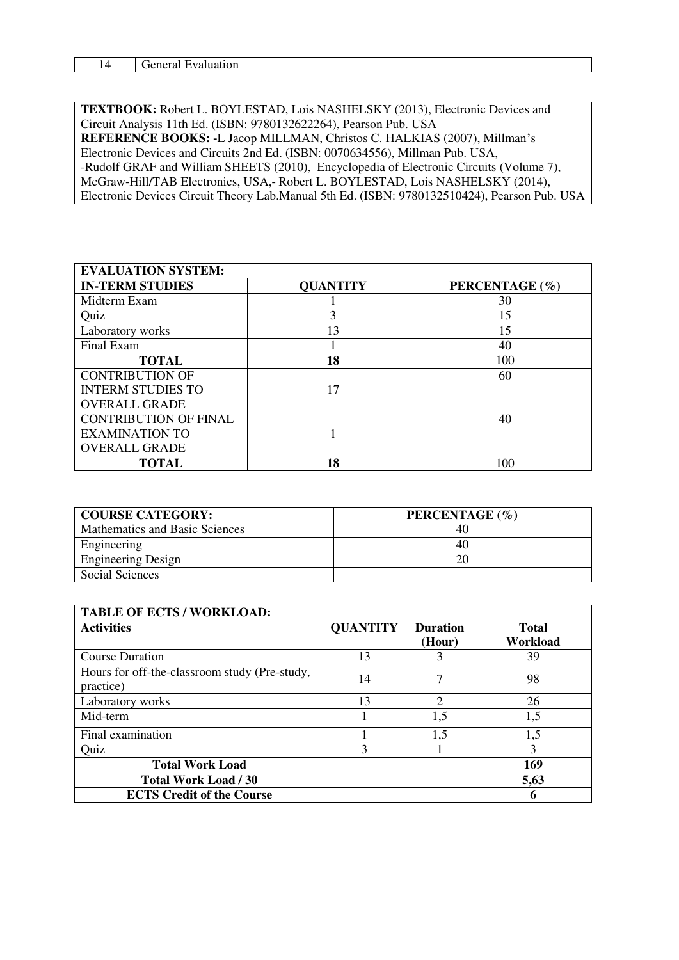| -<br>. . | .<br>- 16<br>uon<br>и<br>$\sim$<br>. |
|----------|--------------------------------------|

**TEXTBOOK:** Robert L. BOYLESTAD, Lois NASHELSKY (2013), Electronic Devices and Circuit Analysis 11th Ed. (ISBN: 9780132622264), Pearson Pub. USA **REFERENCE BOOKS: -**L Jacop MILLMAN, Christos C. HALKIAS (2007), Millman's Electronic Devices and Circuits 2nd Ed. (ISBN: 0070634556), Millman Pub. USA, -Rudolf GRAF and William SHEETS (2010), Encyclopedia of Electronic Circuits (Volume 7), McGraw-Hill/TAB Electronics, USA,- Robert L. BOYLESTAD, Lois NASHELSKY (2014), Electronic Devices Circuit Theory Lab.Manual 5th Ed. (ISBN: 9780132510424), Pearson Pub. USA

| <b>EVALUATION SYSTEM:</b>    |                 |                |  |  |  |
|------------------------------|-----------------|----------------|--|--|--|
| <b>IN-TERM STUDIES</b>       | <b>QUANTITY</b> | PERCENTAGE (%) |  |  |  |
| Midterm Exam                 |                 | 30             |  |  |  |
| Quiz                         | 3               | 15             |  |  |  |
| Laboratory works             | 13              | 15             |  |  |  |
| Final Exam                   |                 | 40             |  |  |  |
| <b>TOTAL</b>                 | 18              | 100            |  |  |  |
| <b>CONTRIBUTION OF</b>       |                 | 60             |  |  |  |
| <b>INTERM STUDIES TO</b>     | 17              |                |  |  |  |
| <b>OVERALL GRADE</b>         |                 |                |  |  |  |
| <b>CONTRIBUTION OF FINAL</b> |                 | 40             |  |  |  |
| <b>EXAMINATION TO</b>        |                 |                |  |  |  |
| <b>OVERALL GRADE</b>         |                 |                |  |  |  |
| <b>TOTAL</b>                 | 18              | 100            |  |  |  |

| <b>COURSE CATEGORY:</b>        | PERCENTAGE (%) |
|--------------------------------|----------------|
| Mathematics and Basic Sciences | 40             |
| Engineering                    | 40             |
| <b>Engineering Design</b>      | 20             |
| <b>Social Sciences</b>         |                |

| <b>TABLE OF ECTS / WORKLOAD:</b>                           |                 |                           |                          |  |  |
|------------------------------------------------------------|-----------------|---------------------------|--------------------------|--|--|
| <b>Activities</b>                                          | <b>QUANTITY</b> | <b>Duration</b><br>(Hour) | <b>Total</b><br>Workload |  |  |
| <b>Course Duration</b>                                     | 13              |                           | 39                       |  |  |
| Hours for off-the-classroom study (Pre-study,<br>practice) | 14              |                           | 98                       |  |  |
| Laboratory works                                           | 13              | 2                         | 26                       |  |  |
| Mid-term                                                   |                 | 1,5                       | 1,5                      |  |  |
| Final examination                                          |                 | 1,5                       | 1,5                      |  |  |
| Quiz                                                       | 3               |                           | 3                        |  |  |
| <b>Total Work Load</b>                                     |                 |                           | 169                      |  |  |
| <b>Total Work Load / 30</b>                                |                 |                           | 5,63                     |  |  |
| <b>ECTS Credit of the Course</b>                           |                 |                           | 6                        |  |  |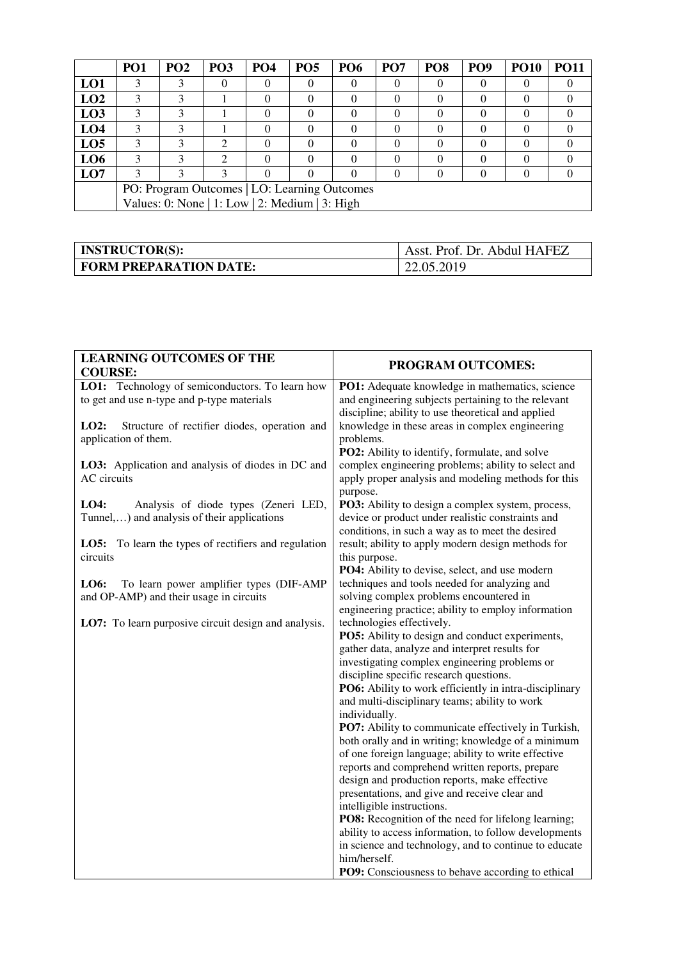|                                                | PO <sub>1</sub> | PO <sub>2</sub> | PO <sub>3</sub> | PO <sub>4</sub> | PO <sub>5</sub> | <b>PO6</b> | PO <sub>7</sub> | PO <sub>8</sub> | PO <sub>9</sub> | <b>PO10</b> | PO11 |
|------------------------------------------------|-----------------|-----------------|-----------------|-----------------|-----------------|------------|-----------------|-----------------|-----------------|-------------|------|
| LO1                                            | 3               | 3               |                 |                 | 0               | $\theta$   |                 |                 |                 | $\theta$    |      |
| LO2                                            | 3               |                 |                 | $\Omega$        | 0               | 0          | $\theta$        |                 |                 | $_{0}$      |      |
| LO3                                            | 3               | 3               |                 |                 | 0               | 0          |                 |                 |                 | 0           |      |
| LO <sub>4</sub>                                | 3               | κ               |                 |                 | 0               | 0          | $\mathcal{O}$   |                 |                 | $\theta$    |      |
| LO <sub>5</sub>                                | 3               |                 | ∍               |                 | 0               | 0          |                 |                 |                 | $\theta$    |      |
| LO <sub>6</sub>                                | 3               | 3               | ◠               |                 | 0               | 0          |                 |                 |                 | $\Omega$    |      |
| LO7                                            |                 |                 | 3               |                 | 0               | 0          | 0               |                 |                 |             |      |
| PO: Program Outcomes   LO: Learning Outcomes   |                 |                 |                 |                 |                 |            |                 |                 |                 |             |      |
| Values: 0: None   1: Low   2: Medium   3: High |                 |                 |                 |                 |                 |            |                 |                 |                 |             |      |

| <b>INSTRUCTOR(S):</b>         | Asst. Prof. Dr. Abdul HAFEZ |
|-------------------------------|-----------------------------|
| <b>FORM PREPARATION DATE:</b> | 22.05.2019                  |

| <b>LEARNING OUTCOMES OF THE</b><br><b>COURSE:</b>                                             | PROGRAM OUTCOMES:                                                                                                                                                                                                                                                                                                                                                                                                                                                                                                                                                                                                                                                                                                                                                                                                                                                                                                                                                         |
|-----------------------------------------------------------------------------------------------|---------------------------------------------------------------------------------------------------------------------------------------------------------------------------------------------------------------------------------------------------------------------------------------------------------------------------------------------------------------------------------------------------------------------------------------------------------------------------------------------------------------------------------------------------------------------------------------------------------------------------------------------------------------------------------------------------------------------------------------------------------------------------------------------------------------------------------------------------------------------------------------------------------------------------------------------------------------------------|
| LO1: Technology of semiconductors. To learn how<br>to get and use n-type and p-type materials | <b>PO1:</b> Adequate knowledge in mathematics, science<br>and engineering subjects pertaining to the relevant<br>discipline; ability to use theoretical and applied                                                                                                                                                                                                                                                                                                                                                                                                                                                                                                                                                                                                                                                                                                                                                                                                       |
| LO2:<br>Structure of rectifier diodes, operation and<br>application of them.                  | knowledge in these areas in complex engineering<br>problems.<br>PO2: Ability to identify, formulate, and solve                                                                                                                                                                                                                                                                                                                                                                                                                                                                                                                                                                                                                                                                                                                                                                                                                                                            |
| LO3: Application and analysis of diodes in DC and<br>AC circuits                              | complex engineering problems; ability to select and<br>apply proper analysis and modeling methods for this                                                                                                                                                                                                                                                                                                                                                                                                                                                                                                                                                                                                                                                                                                                                                                                                                                                                |
| LO4:<br>Analysis of diode types (Zeneri LED,<br>Tunnel,) and analysis of their applications   | purpose.<br>PO3: Ability to design a complex system, process,<br>device or product under realistic constraints and<br>conditions, in such a way as to meet the desired                                                                                                                                                                                                                                                                                                                                                                                                                                                                                                                                                                                                                                                                                                                                                                                                    |
| <b>LO5:</b> To learn the types of rectifiers and regulation<br>circuits                       | result; ability to apply modern design methods for<br>this purpose.<br>PO4: Ability to devise, select, and use modern                                                                                                                                                                                                                                                                                                                                                                                                                                                                                                                                                                                                                                                                                                                                                                                                                                                     |
| LO6:<br>To learn power amplifier types (DIF-AMP<br>and OP-AMP) and their usage in circuits    | techniques and tools needed for analyzing and<br>solving complex problems encountered in<br>engineering practice; ability to employ information                                                                                                                                                                                                                                                                                                                                                                                                                                                                                                                                                                                                                                                                                                                                                                                                                           |
| LO7: To learn purposive circuit design and analysis.                                          | technologies effectively.<br>PO5: Ability to design and conduct experiments,<br>gather data, analyze and interpret results for<br>investigating complex engineering problems or<br>discipline specific research questions.<br>PO6: Ability to work efficiently in intra-disciplinary<br>and multi-disciplinary teams; ability to work<br>individually.<br><b>PO7:</b> Ability to communicate effectively in Turkish,<br>both orally and in writing; knowledge of a minimum<br>of one foreign language; ability to write effective<br>reports and comprehend written reports, prepare<br>design and production reports, make effective<br>presentations, and give and receive clear and<br>intelligible instructions.<br>PO8: Recognition of the need for lifelong learning;<br>ability to access information, to follow developments<br>in science and technology, and to continue to educate<br>him/herself.<br><b>PO9:</b> Consciousness to behave according to ethical |